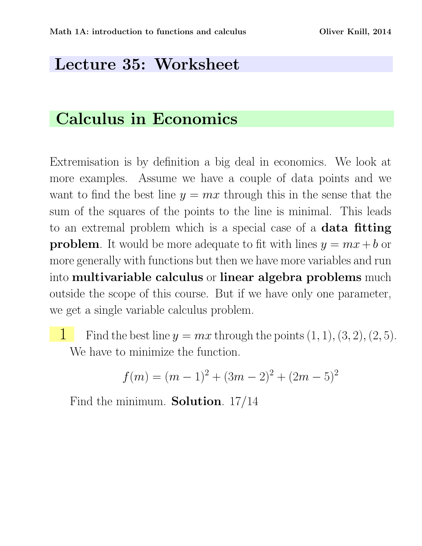# Lecture 35: Worksheet

## Calculus in Economics

Extremisation is by definition a big deal in economics. We look at more examples. Assume we have a couple of data points and we want to find the best line  $y = mx$  through this in the sense that the sum of the squares of the points to the line is minimal. This leads to an extremal problem which is a special case of a data fitting **problem**. It would be more adequate to fit with lines  $y = mx + b$  or more generally with functions but then we have more variables and run into multivariable calculus or linear algebra problems much outside the scope of this course. But if we have only one parameter, we get a single variable calculus problem.

**1** Find the best line  $y = mx$  through the points  $(1, 1), (3, 2), (2, 5)$ . We have to minimize the function.

$$
f(m) = (m-1)^2 + (3m-2)^2 + (2m-5)^2
$$

Find the minimum. **Solution**. 17/14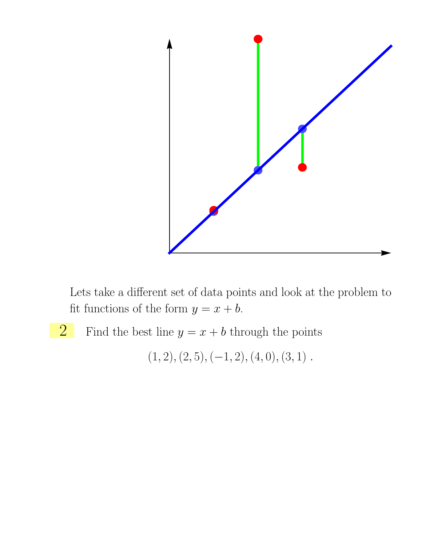

Lets take a different set of data points and look at the problem to fit functions of the form  $y = x + b$ .

2 Find the best line  $y = x + b$  through the points

 $(1, 2), (2, 5), (-1, 2), (4, 0), (3, 1)$ .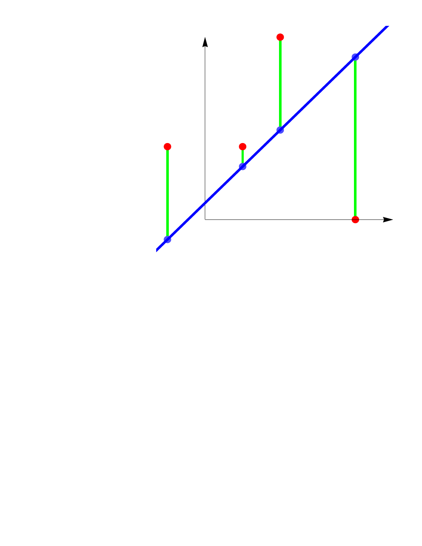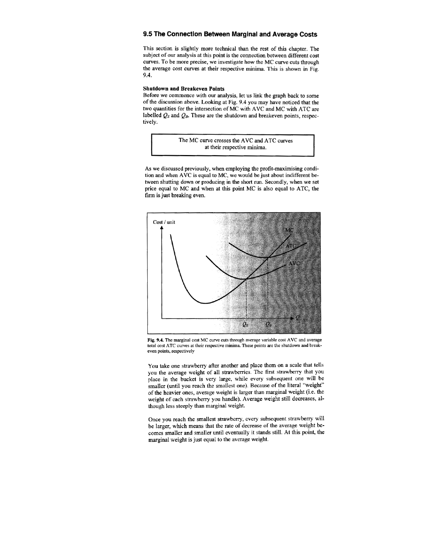## 9.5 The Connection Between Marginal and Average Costs

This section is slightly more technical than the rest of this chapter. The subject of our analysis at this point is the connection between different cost curves. To be more precise, we investigate how the MC curve cuts through the average cost curves at their respective minima. This is shown in Fig. 9.4.

#### **Shutdown and Breakeven Points**

Before we commence with our analysis, let us link the graph back to some of the discussion above. Looking at Fig. 9.4 you may have noticed that the two quantities for the intersection of MC with AVC and MC with ATC are labelled  $Q_s$  and  $Q_s$ . These are the shutdown and breakeven points, respectively.

> The MC curve crosses the AVC and ATC curves at their respective minima.

As we discussed previously, when employing the profit-maximising condition and when AVC is equal to MC, we would be just about indifferent between shutting down or producing in the short run. Secondly, when we set price equal to MC and when at this point MC is also equal to ATC, the firm is just breaking even.



Fig. 9.4. The marginal cost MC curve cuts through average variable cost AVC and average total cost ATC curves at their respective minima. These points are the shutdown and breakeven points, respectively

You take one strawberry after another and place them on a scale that tells you the average weight of all strawberries. The first strawberry that you place in the bucket is very large, while every subsequent one will be smaller (until you reach the smallest one). Because of the literal "weight" of the heavier ones, average weight is larger than marginal weight (i.e. the weight of each strawberry you handle). Average weight still decreases, although less steeply than marginal weight.

Once you reach the smallest strawberry, every subsequent strawberry will be larger, which means that the rate of decrease of the average weight becomes smaller and smaller until eventually it stands still. At this point, the marginal weight is just equal to the average weight.